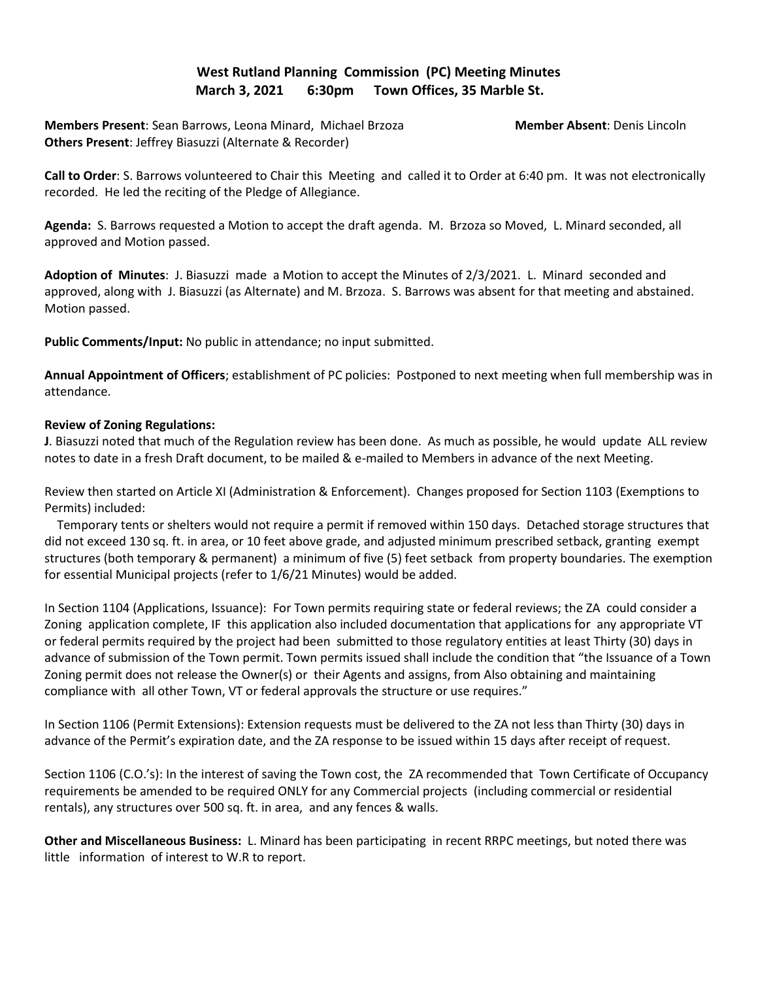## **West Rutland Planning Commission (PC) Meeting Minutes March 3, 2021 6:30pm Town Offices, 35 Marble St.**

**Members Present**: Sean Barrows, Leona Minard, Michael Brzoza **Member Absent**: Denis Lincoln **Others Present**: Jeffrey Biasuzzi (Alternate & Recorder)

**Call to Order**: S. Barrows volunteered to Chair this Meeting and called it to Order at 6:40 pm. It was not electronically recorded. He led the reciting of the Pledge of Allegiance.

**Agenda:** S. Barrows requested a Motion to accept the draft agenda. M. Brzoza so Moved, L. Minard seconded, all approved and Motion passed.

**Adoption of Minutes**: J. Biasuzzi made a Motion to accept the Minutes of 2/3/2021. L. Minard seconded and approved, along with J. Biasuzzi (as Alternate) and M. Brzoza. S. Barrows was absent for that meeting and abstained. Motion passed.

**Public Comments/Input:** No public in attendance; no input submitted.

**Annual Appointment of Officers**; establishment of PC policies: Postponed to next meeting when full membership was in attendance.

## **Review of Zoning Regulations:**

**J**. Biasuzzi noted that much of the Regulation review has been done. As much as possible, he would update ALL review notes to date in a fresh Draft document, to be mailed & e-mailed to Members in advance of the next Meeting.

Review then started on Article XI (Administration & Enforcement). Changes proposed for Section 1103 (Exemptions to Permits) included:

 Temporary tents or shelters would not require a permit if removed within 150 days. Detached storage structures that did not exceed 130 sq. ft. in area, or 10 feet above grade, and adjusted minimum prescribed setback, granting exempt structures (both temporary & permanent) a minimum of five (5) feet setback from property boundaries. The exemption for essential Municipal projects (refer to 1/6/21 Minutes) would be added.

In Section 1104 (Applications, Issuance): For Town permits requiring state or federal reviews; the ZA could consider a Zoning application complete, IF this application also included documentation that applications for any appropriate VT or federal permits required by the project had been submitted to those regulatory entities at least Thirty (30) days in advance of submission of the Town permit. Town permits issued shall include the condition that "the Issuance of a Town Zoning permit does not release the Owner(s) or their Agents and assigns, from Also obtaining and maintaining compliance with all other Town, VT or federal approvals the structure or use requires."

In Section 1106 (Permit Extensions): Extension requests must be delivered to the ZA not less than Thirty (30) days in advance of the Permit's expiration date, and the ZA response to be issued within 15 days after receipt of request.

Section 1106 (C.O.'s): In the interest of saving the Town cost, the ZA recommended that Town Certificate of Occupancy requirements be amended to be required ONLY for any Commercial projects (including commercial or residential rentals), any structures over 500 sq. ft. in area, and any fences & walls.

**Other and Miscellaneous Business:** L. Minard has been participating in recent RRPC meetings, but noted there was little information of interest to W.R to report.